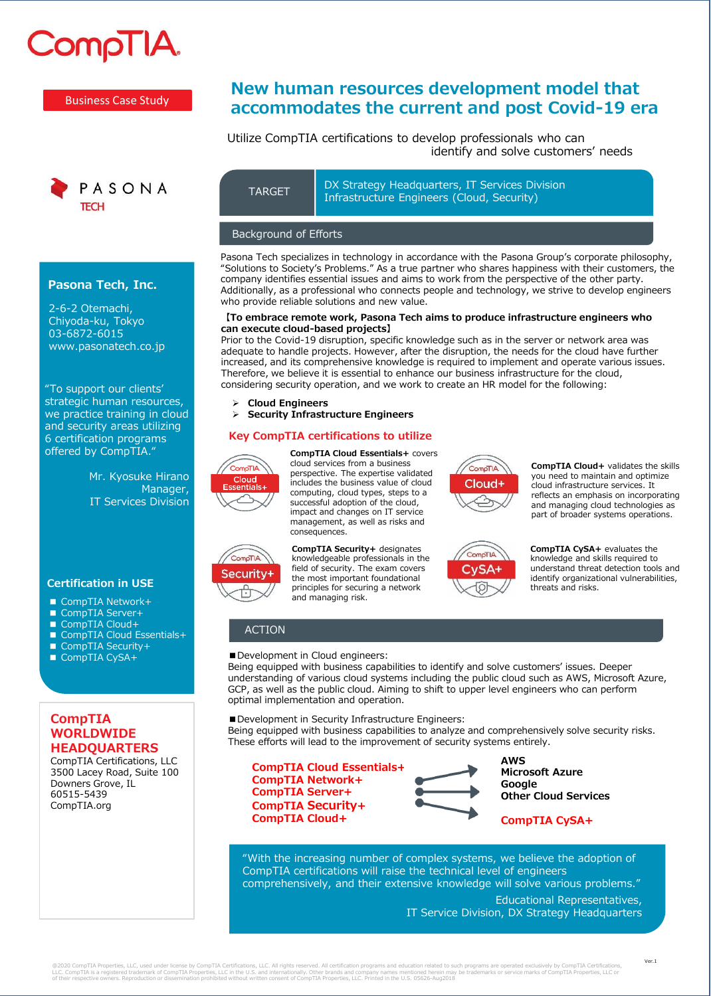# **CompTIA**

Business Case Study



#### **Pasona Tech, Inc.**

2-6-2 Otemachi, Chiyoda-ku, Tokyo 03-6872-6015 www.pasonatech.co.jp

"To support our clients' strategic human resources, we practice training in cloud and security areas utilizing 6 certification programs offered by CompTIA."

> Mr. Kyosuke Hirano Manager, IT Services Division

#### **Certification in USE**

- CompTIA Network+
- CompTIA Server+
- CompTIA Cloud+
- CompTIA Cloud Essentials+
- CompTIA Security+
- CompTIA CySA+

# **CompTIA WORLDWIDE HEADQUARTERS**

CompTIA Certifications, LLC 3500 Lacey Road, Suite 100 Downers Grove, IL 60515-5439 CompTIA.org

# **New human resources development model that accommodates the current and post Covid-19 era**

# Utilize CompTIA certifications to develop professionals who can identify and solve customers' needs

DX Strategy Headquarters, IT Services Division TARGET TRANSTRUCK SUBSEX TRANSPORTED TARGET

#### Background of Efforts

Pasona Tech specializes in technology in accordance with the Pasona Group's corporate philosophy, "Solutions to Society's Problems." As a true partner who shares happiness with their customers, the company identifies essential issues and aims to work from the perspective of the other party. Additionally, as a professional who connects people and technology, we strive to develop engineers who provide reliable solutions and new value.

#### **【To embrace remote work, Pasona Tech aims to produce infrastructure engineers who can execute cloud-based projects】**

Prior to the Covid-19 disruption, specific knowledge such as in the server or network area was adequate to handle projects. However, after the disruption, the needs for the cloud have further increased, and its comprehensive knowledge is required to implement and operate various issues. Therefore, we believe it is essential to enhance our business infrastructure for the cloud, considering security operation, and we work to create an HR model for the following:

Cloud+

CompTIA

CvSA+

➢ **Cloud Engineers** 

➢ **Security Infrastructure Engineers**

# **Key CompTIA certifications to utilize**



**AITOm** 

Security+

**CompTIA Cloud Essentials+** covers cloud services from a business perspective. The expertise validated includes the business value of cloud computing, cloud types, steps to a successful adoption of the cloud, impact and changes on IT service management, as well as risks and consequences.

**CompTIA Security+** designates knowledgeable professionals in the field of security. The exam covers the most important foundational principles for securing a network and managing risk.

# ACTION

■ Development in Cloud engineers:

Being equipped with business capabilities to identify and solve customers' issues. Deeper understanding of various cloud systems including the public cloud such as AWS, Microsoft Azure, GCP, as well as the public cloud. Aiming to shift to upper level engineers who can perform optimal implementation and operation.

■ Development in Security Infrastructure Engineers:

Being equipped with business capabilities to analyze and comprehensively solve security risks. These efforts will lead to the improvement of security systems entirely.

**CompTIA Cloud Essentials+ CompTIA Network+ CompTIA Server+ CompTIA Security+ CompTIA Cloud+**



**AWS Microsoft Azure Google Other Cloud Services**

**CompTIA Cloud+** validates the skills you need to maintain and optimize cloud infrastructure services. It reflects an emphasis on incorporating and managing cloud technologies as part of broader systems operations.

**CompTIA CySA+** evaluates the knowledge and skills required to understand threat detection tools and identify organizational vulnerabilities,

threats and risks.

# **CompTIA CySA+**

"With the increasing number of complex systems, we believe the adoption of CompTIA certifications will raise the technical level of engineers comprehensively, and their extensive knowledge will solve various problems."

> Educational Representatives, IT Service Division, DX Strategy Headquarters

@2020 CompTIA Properties, LLC, used under license by CompTIA Certifications, LLC. All rights reserved. All certification programs and education related to such programs are operated exclusively by CompTIA Certifications,<br>L

Ver.1